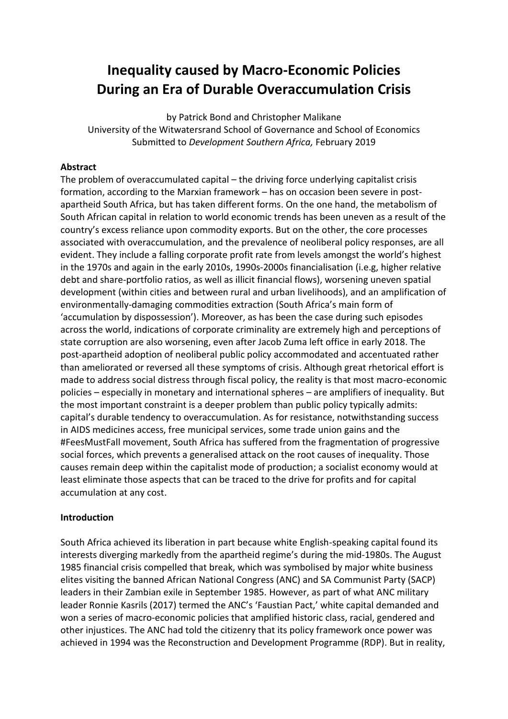# **Inequality caused by Macro-Economic Policies During an Era of Durable Overaccumulation Crisis**

by Patrick Bond and Christopher Malikane University of the Witwatersrand School of Governance and School of Economics Submitted to *Development Southern Africa,* February 2019

# **Abstract**

The problem of overaccumulated capital – the driving force underlying capitalist crisis formation, according to the Marxian framework – has on occasion been severe in postapartheid South Africa, but has taken different forms. On the one hand, the metabolism of South African capital in relation to world economic trends has been uneven as a result of the country's excess reliance upon commodity exports. But on the other, the core processes associated with overaccumulation, and the prevalence of neoliberal policy responses, are all evident. They include a falling corporate profit rate from levels amongst the world's highest in the 1970s and again in the early 2010s, 1990s-2000s financialisation (i.e.g, higher relative debt and share-portfolio ratios, as well as illicit financial flows), worsening uneven spatial development (within cities and between rural and urban livelihoods), and an amplification of environmentally-damaging commodities extraction (South Africa's main form of 'accumulation by dispossession'). Moreover, as has been the case during such episodes across the world, indications of corporate criminality are extremely high and perceptions of state corruption are also worsening, even after Jacob Zuma left office in early 2018. The post-apartheid adoption of neoliberal public policy accommodated and accentuated rather than ameliorated or reversed all these symptoms of crisis. Although great rhetorical effort is made to address social distress through fiscal policy, the reality is that most macro-economic policies – especially in monetary and international spheres – are amplifiers of inequality. But the most important constraint is a deeper problem than public policy typically admits: capital's durable tendency to overaccumulation. As for resistance, notwithstanding success in AIDS medicines access, free municipal services, some trade union gains and the #FeesMustFall movement, South Africa has suffered from the fragmentation of progressive social forces, which prevents a generalised attack on the root causes of inequality. Those causes remain deep within the capitalist mode of production; a socialist economy would at least eliminate those aspects that can be traced to the drive for profits and for capital accumulation at any cost.

# **Introduction**

South Africa achieved its liberation in part because white English-speaking capital found its interests diverging markedly from the apartheid regime's during the mid-1980s. The August 1985 financial crisis compelled that break, which was symbolised by major white business elites visiting the banned African National Congress (ANC) and SA Communist Party (SACP) leaders in their Zambian exile in September 1985. However, as part of what ANC military leader Ronnie Kasrils (2017) termed the ANC's 'Faustian Pact,' white capital demanded and won a series of macro-economic policies that amplified historic class, racial, gendered and other injustices. The ANC had told the citizenry that its policy framework once power was achieved in 1994 was the Reconstruction and Development Programme (RDP). But in reality,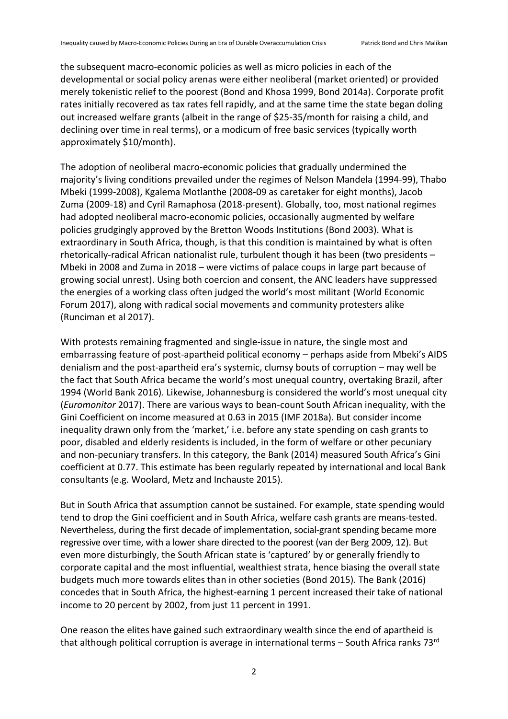the subsequent macro-economic policies as well as micro policies in each of the developmental or social policy arenas were either neoliberal (market oriented) or provided merely tokenistic relief to the poorest (Bond and Khosa 1999, Bond 2014a). Corporate profit rates initially recovered as tax rates fell rapidly, and at the same time the state began doling out increased welfare grants (albeit in the range of \$25-35/month for raising a child, and declining over time in real terms), or a modicum of free basic services (typically worth approximately \$10/month).

The adoption of neoliberal macro-economic policies that gradually undermined the majority's living conditions prevailed under the regimes of Nelson Mandela (1994-99), Thabo Mbeki (1999-2008), Kgalema Motlanthe (2008-09 as caretaker for eight months), Jacob Zuma (2009-18) and Cyril Ramaphosa (2018-present). Globally, too, most national regimes had adopted neoliberal macro-economic policies, occasionally augmented by welfare policies grudgingly approved by the Bretton Woods Institutions (Bond 2003). What is extraordinary in South Africa, though, is that this condition is maintained by what is often rhetorically-radical African nationalist rule, turbulent though it has been (two presidents – Mbeki in 2008 and Zuma in 2018 – were victims of palace coups in large part because of growing social unrest). Using both coercion and consent, the ANC leaders have suppressed the energies of a working class often judged the world's most militant (World Economic Forum 2017), along with radical social movements and community protesters alike (Runciman et al 2017).

With protests remaining fragmented and single-issue in nature, the single most and embarrassing feature of post-apartheid political economy – perhaps aside from Mbeki's AIDS denialism and the post-apartheid era's systemic, clumsy bouts of corruption – may well be the fact that South Africa became the world's most unequal country, overtaking Brazil, after 1994 (World Bank 2016). Likewise, Johannesburg is considered the world's most unequal city (*Euromonitor* 2017). There are various ways to bean-count South African inequality, with the Gini Coefficient on income measured at 0.63 in 2015 (IMF 2018a). But consider income inequality drawn only from the 'market,' i.e. before any state spending on cash grants to poor, disabled and elderly residents is included, in the form of welfare or other pecuniary and non-pecuniary transfers. In this category, the Bank (2014) measured South Africa's Gini coefficient at 0.77. This estimate has been regularly repeated by international and local Bank consultants (e.g. Woolard, Metz and Inchauste 2015).

But in South Africa that assumption cannot be sustained. For example, state spending would tend to drop the Gini coefficient and in South Africa, welfare cash grants are means-tested. Nevertheless, during the first decade of implementation, social-grant spending became more regressive over time, with a lower share directed to the poorest (van der Berg 2009, 12). But even more disturbingly, the South African state is 'captured' by or generally friendly to corporate capital and the most influential, wealthiest strata, hence biasing the overall state budgets much more towards elites than in other societies (Bond 2015). The Bank (2016) concedes that in South Africa, the highest-earning 1 percent increased their take of national income to 20 percent by 2002, from just 11 percent in 1991.

One reason the elites have gained such extraordinary wealth since the end of apartheid is that although political corruption is average in international terms - South Africa ranks 73rd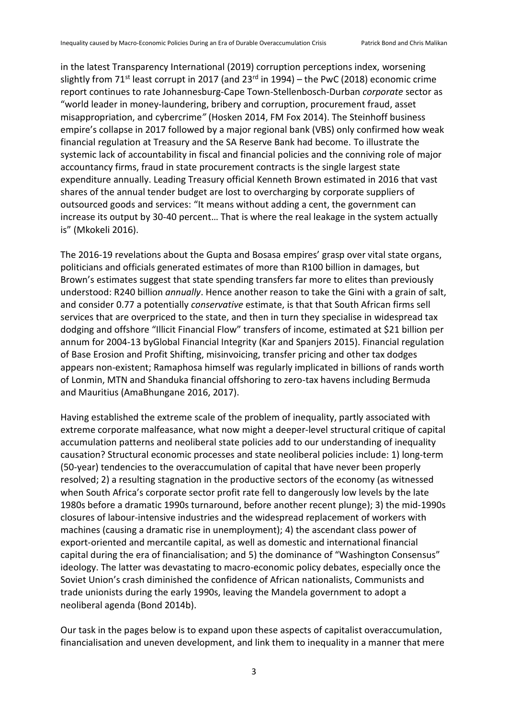in the latest Transparency International (2019) corruption perceptions index, worsening slightly from 71<sup>st</sup> least corrupt in 2017 (and 23<sup>rd</sup> in 1994) – the PwC (2018) economic crime report continues to rate Johannesburg-Cape Town-Stellenbosch-Durban *corporate* sector as "world leader in money*-*laundering, bribery and corruption, procurement fraud, asset misappropriation, and cybercrime*"* (Hosken 2014, FM Fox 2014). The Steinhoff business empire's collapse in 2017 followed by a major regional bank (VBS) only confirmed how weak financial regulation at Treasury and the SA Reserve Bank had become. To illustrate the systemic lack of accountability in fiscal and financial policies and the conniving role of major accountancy firms, fraud in state procurement contracts is the single largest state expenditure annually. Leading Treasury official Kenneth Brown estimated in 2016 that vast shares of the annual tender budget are lost to overcharging by corporate suppliers of outsourced goods and services: "It means without adding a cent, the government can increase its output by 30-40 percent… That is where the real leakage in the system actually is" (Mkokeli 2016).

The 2016-19 revelations about the Gupta and Bosasa empires' grasp over vital state organs, politicians and officials generated estimates of more than R100 billion in damages, but Brown's estimates suggest that state spending transfers far more to elites than previously understood: R240 billion *annually*. Hence another reason to take the Gini with a grain of salt, and consider 0.77 a potentially *conservative* estimate, is that that South African firms sell services that are overpriced to the state, and then in turn they specialise in widespread tax dodging and offshore "Illicit Financial Flow" transfers of income, estimated at \$21 billion per annum for 2004-13 byGlobal Financial Integrity (Kar and Spanjers 2015). Financial regulation of Base Erosion and Profit Shifting, misinvoicing, transfer pricing and other tax dodges appears non-existent; Ramaphosa himself was regularly implicated in billions of rands worth of Lonmin, MTN and Shanduka financial offshoring to zero-tax havens including Bermuda and Mauritius (AmaBhungane 2016, 2017).

Having established the extreme scale of the problem of inequality, partly associated with extreme corporate malfeasance, what now might a deeper-level structural critique of capital accumulation patterns and neoliberal state policies add to our understanding of inequality causation? Structural economic processes and state neoliberal policies include: 1) long-term (50-year) tendencies to the overaccumulation of capital that have never been properly resolved; 2) a resulting stagnation in the productive sectors of the economy (as witnessed when South Africa's corporate sector profit rate fell to dangerously low levels by the late 1980s before a dramatic 1990s turnaround, before another recent plunge); 3) the mid-1990s closures of labour-intensive industries and the widespread replacement of workers with machines (causing a dramatic rise in unemployment); 4) the ascendant class power of export-oriented and mercantile capital, as well as domestic and international financial capital during the era of financialisation; and 5) the dominance of "Washington Consensus" ideology. The latter was devastating to macro-economic policy debates, especially once the Soviet Union's crash diminished the confidence of African nationalists, Communists and trade unionists during the early 1990s, leaving the Mandela government to adopt a neoliberal agenda (Bond 2014b).

Our task in the pages below is to expand upon these aspects of capitalist overaccumulation, financialisation and uneven development, and link them to inequality in a manner that mere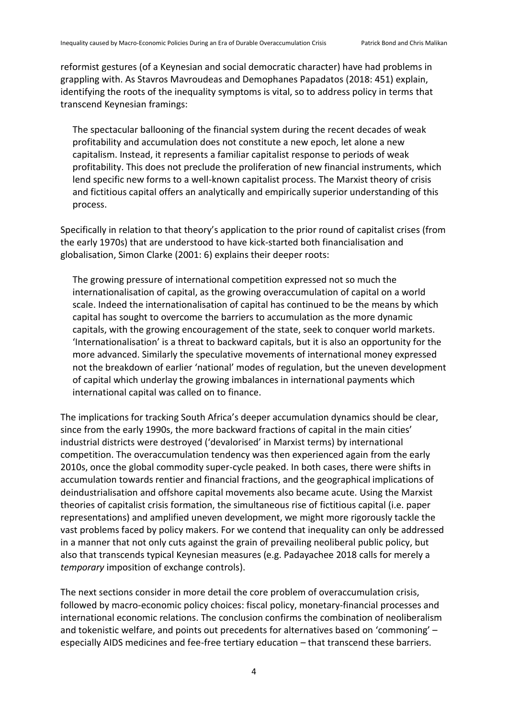reformist gestures (of a Keynesian and social democratic character) have had problems in grappling with. As Stavros Mavroudeas and Demophanes Papadatos (2018: 451) explain, identifying the roots of the inequality symptoms is vital, so to address policy in terms that transcend Keynesian framings:

The spectacular ballooning of the financial system during the recent decades of weak profitability and accumulation does not constitute a new epoch, let alone a new capitalism. Instead, it represents a familiar capitalist response to periods of weak profitability. This does not preclude the proliferation of new financial instruments, which lend specific new forms to a well-known capitalist process. The Marxist theory of crisis and fictitious capital offers an analytically and empirically superior understanding of this process.

Specifically in relation to that theory's application to the prior round of capitalist crises (from the early 1970s) that are understood to have kick-started both financialisation and globalisation, Simon Clarke (2001: 6) explains their deeper roots:

The growing pressure of international competition expressed not so much the internationalisation of capital, as the growing overaccumulation of capital on a world scale. Indeed the internationalisation of capital has continued to be the means by which capital has sought to overcome the barriers to accumulation as the more dynamic capitals, with the growing encouragement of the state, seek to conquer world markets. 'Internationalisation' is a threat to backward capitals, but it is also an opportunity for the more advanced. Similarly the speculative movements of international money expressed not the breakdown of earlier 'national' modes of regulation, but the uneven development of capital which underlay the growing imbalances in international payments which international capital was called on to finance.

The implications for tracking South Africa's deeper accumulation dynamics should be clear, since from the early 1990s, the more backward fractions of capital in the main cities' industrial districts were destroyed ('devalorised' in Marxist terms) by international competition. The overaccumulation tendency was then experienced again from the early 2010s, once the global commodity super-cycle peaked. In both cases, there were shifts in accumulation towards rentier and financial fractions, and the geographical implications of deindustrialisation and offshore capital movements also became acute. Using the Marxist theories of capitalist crisis formation, the simultaneous rise of fictitious capital (i.e. paper representations) and amplified uneven development, we might more rigorously tackle the vast problems faced by policy makers. For we contend that inequality can only be addressed in a manner that not only cuts against the grain of prevailing neoliberal public policy, but also that transcends typical Keynesian measures (e.g. Padayachee 2018 calls for merely a *temporary* imposition of exchange controls).

The next sections consider in more detail the core problem of overaccumulation crisis, followed by macro-economic policy choices: fiscal policy, monetary-financial processes and international economic relations. The conclusion confirms the combination of neoliberalism and tokenistic welfare, and points out precedents for alternatives based on 'commoning' – especially AIDS medicines and fee-free tertiary education – that transcend these barriers.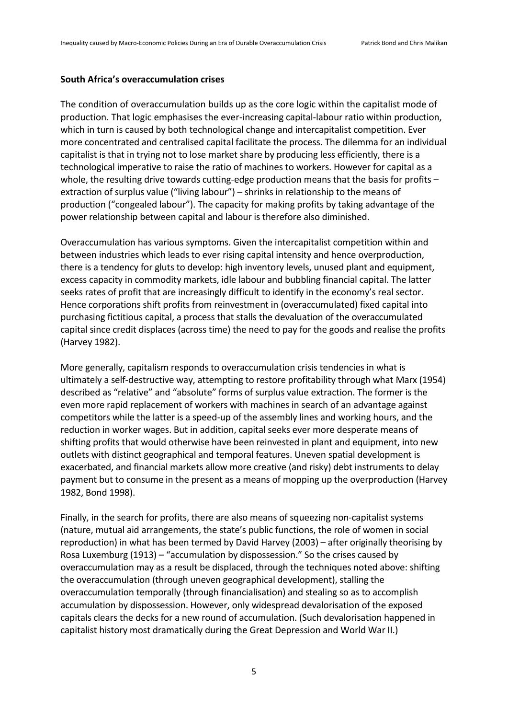#### **South Africa's overaccumulation crises**

The condition of overaccumulation builds up as the core logic within the capitalist mode of production. That logic emphasises the ever-increasing capital-labour ratio within production, which in turn is caused by both technological change and intercapitalist competition. Ever more concentrated and centralised capital facilitate the process. The dilemma for an individual capitalist is that in trying not to lose market share by producing less efficiently, there is a technological imperative to raise the ratio of machines to workers. However for capital as a whole, the resulting drive towards cutting-edge production means that the basis for profits extraction of surplus value ("living labour") – shrinks in relationship to the means of production ("congealed labour"). The capacity for making profits by taking advantage of the power relationship between capital and labour is therefore also diminished.

Overaccumulation has various symptoms. Given the intercapitalist competition within and between industries which leads to ever rising capital intensity and hence overproduction, there is a tendency for gluts to develop: high inventory levels, unused plant and equipment, excess capacity in commodity markets, idle labour and bubbling financial capital. The latter seeks rates of profit that are increasingly difficult to identify in the economy's real sector. Hence corporations shift profits from reinvestment in (overaccumulated) fixed capital into purchasing fictitious capital, a process that stalls the devaluation of the overaccumulated capital since credit displaces (across time) the need to pay for the goods and realise the profits (Harvey 1982).

More generally, capitalism responds to overaccumulation crisis tendencies in what is ultimately a self-destructive way, attempting to restore profitability through what Marx (1954) described as "relative" and "absolute" forms of surplus value extraction. The former is the even more rapid replacement of workers with machines in search of an advantage against competitors while the latter is a speed-up of the assembly lines and working hours, and the reduction in worker wages. But in addition, capital seeks ever more desperate means of shifting profits that would otherwise have been reinvested in plant and equipment, into new outlets with distinct geographical and temporal features. Uneven spatial development is exacerbated, and financial markets allow more creative (and risky) debt instruments to delay payment but to consume in the present as a means of mopping up the overproduction (Harvey 1982, Bond 1998).

Finally, in the search for profits, there are also means of squeezing non-capitalist systems (nature, mutual aid arrangements, the state's public functions, the role of women in social reproduction) in what has been termed by David Harvey (2003) – after originally theorising by Rosa Luxemburg (1913) – "accumulation by dispossession." So the crises caused by overaccumulation may as a result be displaced, through the techniques noted above: shifting the overaccumulation (through uneven geographical development), stalling the overaccumulation temporally (through financialisation) and stealing so as to accomplish accumulation by dispossession. However, only widespread devalorisation of the exposed capitals clears the decks for a new round of accumulation. (Such devalorisation happened in capitalist history most dramatically during the Great Depression and World War II.)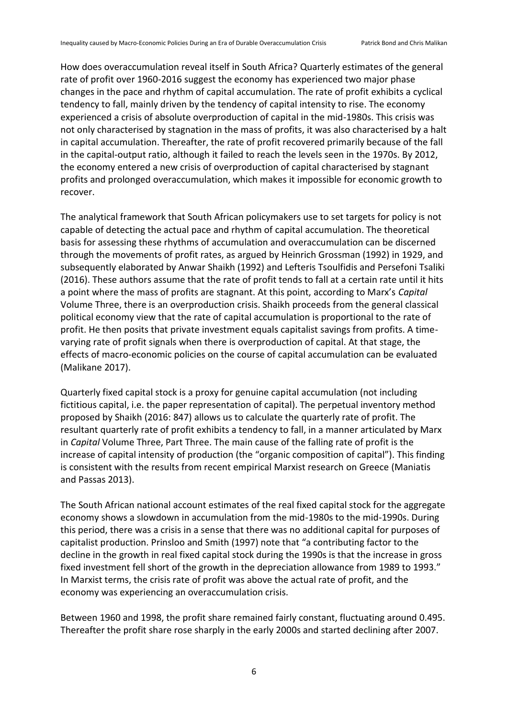How does overaccumulation reveal itself in South Africa? Quarterly estimates of the general rate of profit over 1960-2016 suggest the economy has experienced two major phase changes in the pace and rhythm of capital accumulation. The rate of profit exhibits a cyclical tendency to fall, mainly driven by the tendency of capital intensity to rise. The economy experienced a crisis of absolute overproduction of capital in the mid-1980s. This crisis was not only characterised by stagnation in the mass of profits, it was also characterised by a halt in capital accumulation. Thereafter, the rate of profit recovered primarily because of the fall in the capital-output ratio, although it failed to reach the levels seen in the 1970s. By 2012, the economy entered a new crisis of overproduction of capital characterised by stagnant profits and prolonged overaccumulation, which makes it impossible for economic growth to recover.

The analytical framework that South African policymakers use to set targets for policy is not capable of detecting the actual pace and rhythm of capital accumulation. The theoretical basis for assessing these rhythms of accumulation and overaccumulation can be discerned through the movements of profit rates, as argued by Heinrich Grossman (1992) in 1929, and subsequently elaborated by Anwar Shaikh (1992) and Lefteris Tsoulfidis and Persefoni Tsaliki (2016). These authors assume that the rate of profit tends to fall at a certain rate until it hits a point where the mass of profits are stagnant. At this point, according to Marx's *Capital*  Volume Three, there is an overproduction crisis. Shaikh proceeds from the general classical political economy view that the rate of capital accumulation is proportional to the rate of profit. He then posits that private investment equals capitalist savings from profits. A timevarying rate of profit signals when there is overproduction of capital. At that stage, the effects of macro-economic policies on the course of capital accumulation can be evaluated (Malikane 2017).

Quarterly fixed capital stock is a proxy for genuine capital accumulation (not including fictitious capital, i.e. the paper representation of capital). The perpetual inventory method proposed by Shaikh (2016: 847) allows us to calculate the quarterly rate of profit. The resultant quarterly rate of profit exhibits a tendency to fall, in a manner articulated by Marx in *Capital* Volume Three, Part Three. The main cause of the falling rate of profit is the increase of capital intensity of production (the "organic composition of capital"). This finding is consistent with the results from recent empirical Marxist research on Greece (Maniatis and Passas 2013).

The South African national account estimates of the real fixed capital stock for the aggregate economy shows a slowdown in accumulation from the mid-1980s to the mid-1990s. During this period, there was a crisis in a sense that there was no additional capital for purposes of capitalist production. Prinsloo and Smith (1997) note that "a contributing factor to the decline in the growth in real fixed capital stock during the 1990s is that the increase in gross fixed investment fell short of the growth in the depreciation allowance from 1989 to 1993." In Marxist terms, the crisis rate of profit was above the actual rate of profit, and the economy was experiencing an overaccumulation crisis.

Between 1960 and 1998, the profit share remained fairly constant, fluctuating around 0.495. Thereafter the profit share rose sharply in the early 2000s and started declining after 2007.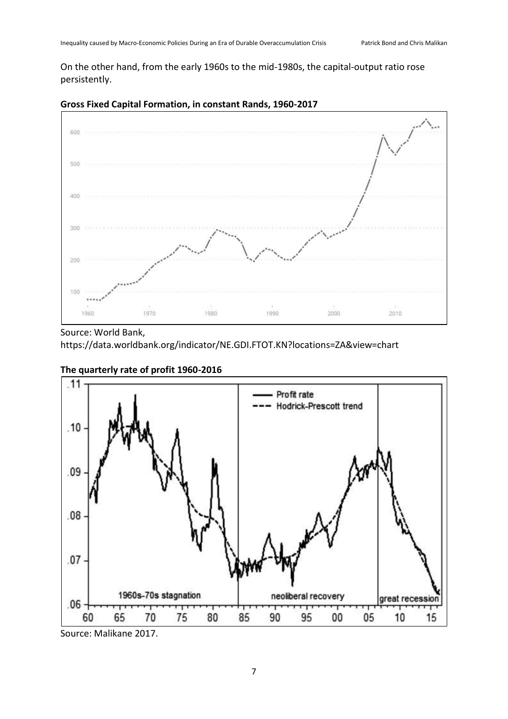On the other hand, from the early 1960s to the mid-1980s, the capital-output ratio rose persistently.



## **Gross Fixed Capital Formation, in constant Rands, 1960-2017**

Source: World Bank, <https://data.worldbank.org/indicator/NE.GDI.FTOT.KN?locations=ZA&view=chart>



### **The quarterly rate of profit 1960-2016**

Source: Malikane 2017.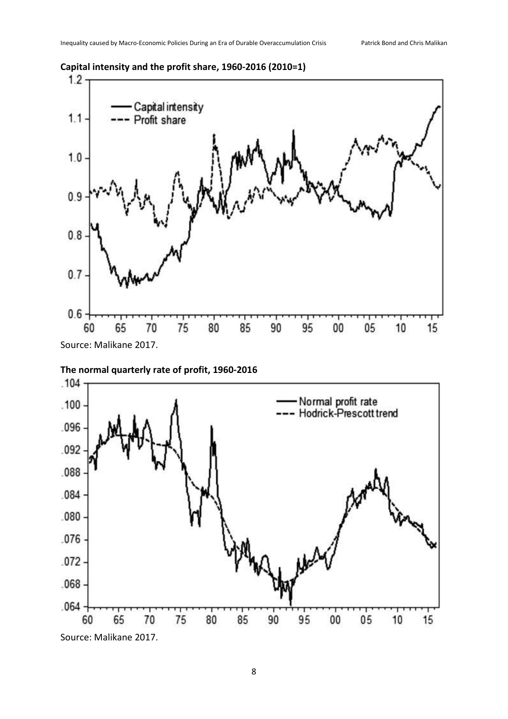

**Capital intensity and the profit share, 1960-2016 (2010=1)**

Source: Malikane 2017.



**The normal quarterly rate of profit, 1960-2016**

Source: Malikane 2017.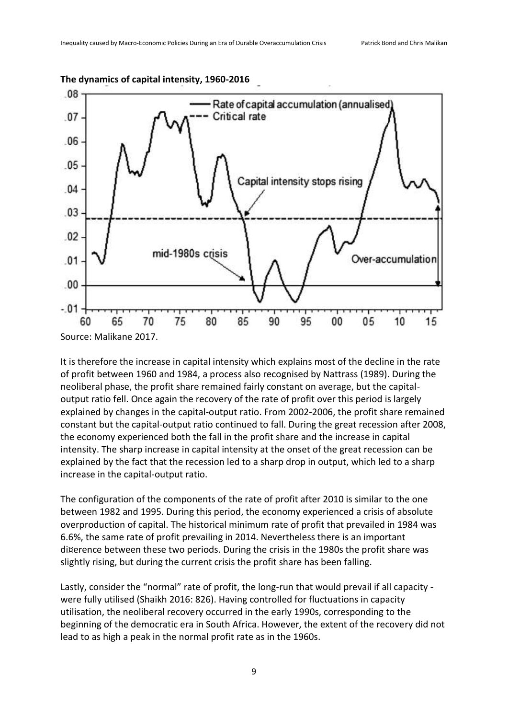

**The dynamics of capital intensity, 1960-2016** 

It is therefore the increase in capital intensity which explains most of the decline in the rate of profit between 1960 and 1984, a process also recognised by Nattrass (1989). During the neoliberal phase, the profit share remained fairly constant on average, but the capitaloutput ratio fell. Once again the recovery of the rate of profit over this period is largely explained by changes in the capital-output ratio. From 2002-2006, the profit share remained constant but the capital-output ratio continued to fall. During the great recession after 2008, the economy experienced both the fall in the profit share and the increase in capital intensity. The sharp increase in capital intensity at the onset of the great recession can be explained by the fact that the recession led to a sharp drop in output, which led to a sharp increase in the capital-output ratio.

The configuration of the components of the rate of profit after 2010 is similar to the one between 1982 and 1995. During this period, the economy experienced a crisis of absolute overproduction of capital. The historical minimum rate of profit that prevailed in 1984 was 6.6%, the same rate of profit prevailing in 2014. Nevertheless there is an important di¤erence between these two periods. During the crisis in the 1980s the profit share was slightly rising, but during the current crisis the profit share has been falling.

Lastly, consider the "normal" rate of profit, the long-run that would prevail if all capacity were fully utilised (Shaikh 2016: 826). Having controlled for fluctuations in capacity utilisation, the neoliberal recovery occurred in the early 1990s, corresponding to the beginning of the democratic era in South Africa. However, the extent of the recovery did not lead to as high a peak in the normal profit rate as in the 1960s.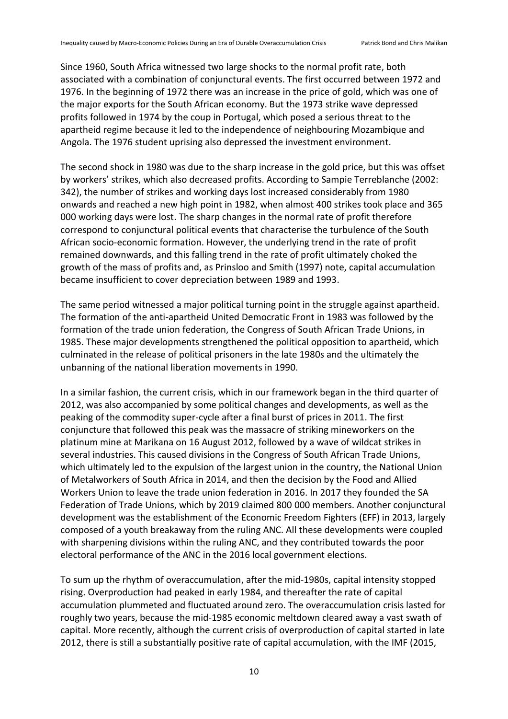Since 1960, South Africa witnessed two large shocks to the normal profit rate, both associated with a combination of conjunctural events. The first occurred between 1972 and 1976. In the beginning of 1972 there was an increase in the price of gold, which was one of the major exports for the South African economy. But the 1973 strike wave depressed profits followed in 1974 by the coup in Portugal, which posed a serious threat to the apartheid regime because it led to the independence of neighbouring Mozambique and Angola. The 1976 student uprising also depressed the investment environment.

The second shock in 1980 was due to the sharp increase in the gold price, but this was offset by workers' strikes, which also decreased profits. According to Sampie Terreblanche (2002: 342), the number of strikes and working days lost increased considerably from 1980 onwards and reached a new high point in 1982, when almost 400 strikes took place and 365 000 working days were lost. The sharp changes in the normal rate of profit therefore correspond to conjunctural political events that characterise the turbulence of the South African socio-economic formation. However, the underlying trend in the rate of profit remained downwards, and this falling trend in the rate of profit ultimately choked the growth of the mass of profits and, as Prinsloo and Smith (1997) note, capital accumulation became insufficient to cover depreciation between 1989 and 1993.

The same period witnessed a major political turning point in the struggle against apartheid. The formation of the anti-apartheid United Democratic Front in 1983 was followed by the formation of the trade union federation, the Congress of South African Trade Unions, in 1985. These major developments strengthened the political opposition to apartheid, which culminated in the release of political prisoners in the late 1980s and the ultimately the unbanning of the national liberation movements in 1990.

In a similar fashion, the current crisis, which in our framework began in the third quarter of 2012, was also accompanied by some political changes and developments, as well as the peaking of the commodity super-cycle after a final burst of prices in 2011. The first conjuncture that followed this peak was the massacre of striking mineworkers on the platinum mine at Marikana on 16 August 2012, followed by a wave of wildcat strikes in several industries. This caused divisions in the Congress of South African Trade Unions, which ultimately led to the expulsion of the largest union in the country, the National Union of Metalworkers of South Africa in 2014, and then the decision by the Food and Allied Workers Union to leave the trade union federation in 2016. In 2017 they founded the SA Federation of Trade Unions, which by 2019 claimed 800 000 members. Another conjunctural development was the establishment of the Economic Freedom Fighters (EFF) in 2013, largely composed of a youth breakaway from the ruling ANC. All these developments were coupled with sharpening divisions within the ruling ANC, and they contributed towards the poor electoral performance of the ANC in the 2016 local government elections.

To sum up the rhythm of overaccumulation, after the mid-1980s, capital intensity stopped rising. Overproduction had peaked in early 1984, and thereafter the rate of capital accumulation plummeted and fluctuated around zero. The overaccumulation crisis lasted for roughly two years, because the mid-1985 economic meltdown cleared away a vast swath of capital. More recently, although the current crisis of overproduction of capital started in late 2012, there is still a substantially positive rate of capital accumulation, with the IMF (2015,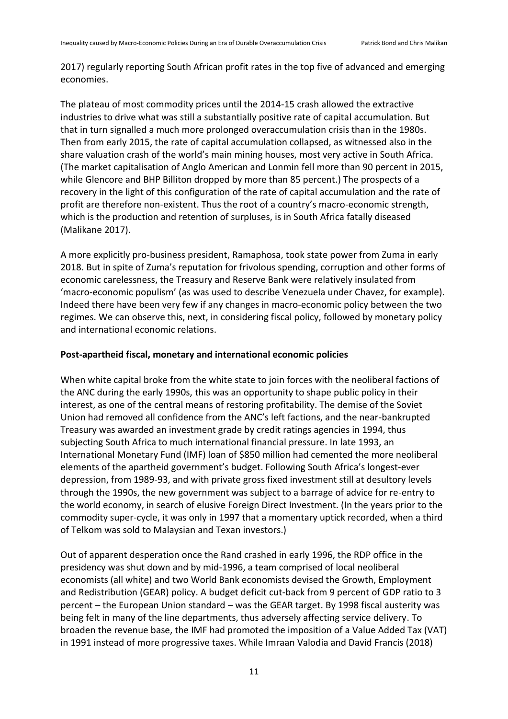2017) regularly reporting South African profit rates in the top five of advanced and emerging economies.

The plateau of most commodity prices until the 2014-15 crash allowed the extractive industries to drive what was still a substantially positive rate of capital accumulation. But that in turn signalled a much more prolonged overaccumulation crisis than in the 1980s. Then from early 2015, the rate of capital accumulation collapsed, as witnessed also in the share valuation crash of the world's main mining houses, most very active in South Africa. (The market capitalisation of Anglo American and Lonmin fell more than 90 percent in 2015, while Glencore and BHP Billiton dropped by more than 85 percent.) The prospects of a recovery in the light of this configuration of the rate of capital accumulation and the rate of profit are therefore non-existent. Thus the root of a country's macro-economic strength, which is the production and retention of surpluses, is in South Africa fatally diseased (Malikane 2017).

A more explicitly pro-business president, Ramaphosa, took state power from Zuma in early 2018. But in spite of Zuma's reputation for frivolous spending, corruption and other forms of economic carelessness, the Treasury and Reserve Bank were relatively insulated from 'macro-economic populism' (as was used to describe Venezuela under Chavez, for example). Indeed there have been very few if any changes in macro-economic policy between the two regimes. We can observe this, next, in considering fiscal policy, followed by monetary policy and international economic relations.

#### **Post-apartheid fiscal, monetary and international economic policies**

When white capital broke from the white state to join forces with the neoliberal factions of the ANC during the early 1990s, this was an opportunity to shape public policy in their interest, as one of the central means of restoring profitability. The demise of the Soviet Union had removed all confidence from the ANC's left factions, and the near-bankrupted Treasury was awarded an investment grade by credit ratings agencies in 1994, thus subjecting South Africa to much international financial pressure. In late 1993, an International Monetary Fund (IMF) loan of \$850 million had cemented the more neoliberal elements of the apartheid government's budget. Following South Africa's longest-ever depression, from 1989-93, and with private gross fixed investment still at desultory levels through the 1990s, the new government was subject to a barrage of advice for re-entry to the world economy, in search of elusive Foreign Direct Investment. (In the years prior to the commodity super-cycle, it was only in 1997 that a momentary uptick recorded, when a third of Telkom was sold to Malaysian and Texan investors.)

Out of apparent desperation once the Rand crashed in early 1996, the RDP office in the presidency was shut down and by mid-1996, a team comprised of local neoliberal economists (all white) and two World Bank economists devised the Growth, Employment and Redistribution (GEAR) policy. A budget deficit cut-back from 9 percent of GDP ratio to 3 percent – the European Union standard – was the GEAR target. By 1998 fiscal austerity was being felt in many of the line departments, thus adversely affecting service delivery. To broaden the revenue base, the IMF had promoted the imposition of a Value Added Tax (VAT) in 1991 instead of more progressive taxes. While Imraan Valodia and David Francis (2018)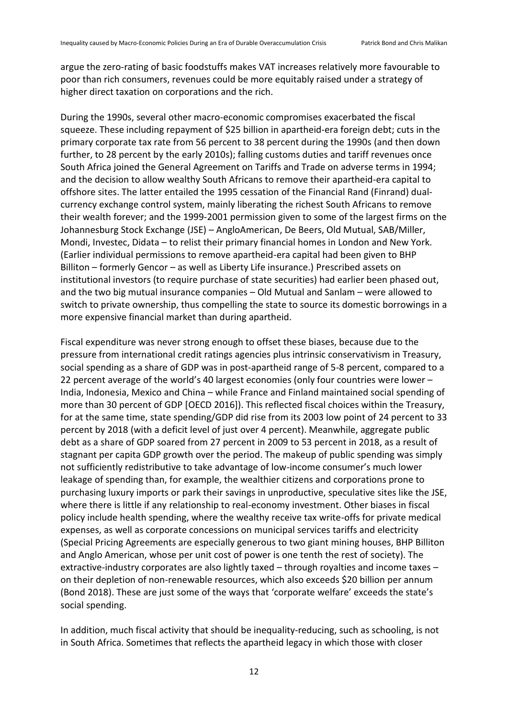argue the zero-rating of basic foodstuffs makes VAT increases relatively more favourable to poor than rich consumers, revenues could be more equitably raised under a strategy of higher direct taxation on corporations and the rich.

During the 1990s, several other macro-economic compromises exacerbated the fiscal squeeze. These including repayment of \$25 billion in apartheid-era foreign debt; cuts in the primary corporate tax rate from 56 percent to 38 percent during the 1990s (and then down further, to 28 percent by the early 2010s); falling customs duties and tariff revenues once South Africa joined the General Agreement on Tariffs and Trade on adverse terms in 1994; and the decision to allow wealthy South Africans to remove their apartheid-era capital to offshore sites. The latter entailed the 1995 cessation of the Financial Rand (Finrand) dualcurrency exchange control system, mainly liberating the richest South Africans to remove their wealth forever; and the 1999-2001 permission given to some of the largest firms on the Johannesburg Stock Exchange (JSE) – AngloAmerican, De Beers, Old Mutual, SAB/Miller, Mondi, Investec, Didata – to relist their primary financial homes in London and New York. (Earlier individual permissions to remove apartheid-era capital had been given to BHP Billiton – formerly Gencor – as well as Liberty Life insurance.) Prescribed assets on institutional investors (to require purchase of state securities) had earlier been phased out, and the two big mutual insurance companies – Old Mutual and Sanlam – were allowed to switch to private ownership, thus compelling the state to source its domestic borrowings in a more expensive financial market than during apartheid.

Fiscal expenditure was never strong enough to offset these biases, because due to the pressure from international credit ratings agencies plus intrinsic conservativism in Treasury, social spending as a share of GDP was in post-apartheid range of 5-8 percent, compared to a 22 percent average of the world's 40 largest economies (only four countries were lower – India, Indonesia, Mexico and China – while France and Finland maintained social spending of more than 30 percent of GDP [OECD 2016]). This reflected fiscal choices within the Treasury, for at the same time, state spending/GDP did rise from its 2003 low point of 24 percent to 33 percent by 2018 (with a deficit level of just over 4 percent). Meanwhile, aggregate public debt as a share of GDP soared from 27 percent in 2009 to 53 percent in 2018, as a result of stagnant per capita GDP growth over the period. The makeup of public spending was simply not sufficiently redistributive to take advantage of low-income consumer's much lower leakage of spending than, for example, the wealthier citizens and corporations prone to purchasing luxury imports or park their savings in unproductive, speculative sites like the JSE, where there is little if any relationship to real-economy investment. Other biases in fiscal policy include health spending, where the wealthy receive tax write-offs for private medical expenses, as well as corporate concessions on municipal services tariffs and electricity (Special Pricing Agreements are especially generous to two giant mining houses, BHP Billiton and Anglo American, whose per unit cost of power is one tenth the rest of society). The extractive-industry corporates are also lightly taxed – through royalties and income taxes – on their depletion of non-renewable resources, which also exceeds \$20 billion per annum (Bond 2018). These are just some of the ways that 'corporate welfare' exceeds the state's social spending.

In addition, much fiscal activity that should be inequality-reducing, such as schooling, is not in South Africa. Sometimes that reflects the apartheid legacy in which those with closer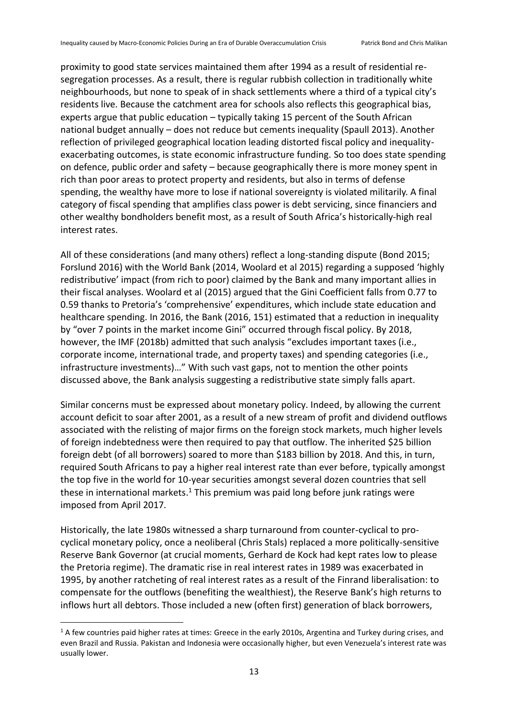proximity to good state services maintained them after 1994 as a result of residential resegregation processes. As a result, there is regular rubbish collection in traditionally white neighbourhoods, but none to speak of in shack settlements where a third of a typical city's residents live. Because the catchment area for schools also reflects this geographical bias, experts argue that public education – typically taking 15 percent of the South African national budget annually – does not reduce but cements inequality (Spaull 2013). Another reflection of privileged geographical location leading distorted fiscal policy and inequalityexacerbating outcomes, is state economic infrastructure funding. So too does state spending on defence, public order and safety – because geographically there is more money spent in rich than poor areas to protect property and residents, but also in terms of defense spending, the wealthy have more to lose if national sovereignty is violated militarily. A final category of fiscal spending that amplifies class power is debt servicing, since financiers and other wealthy bondholders benefit most, as a result of South Africa's historically-high real interest rates.

All of these considerations (and many others) reflect a long-standing dispute (Bond 2015; Forslund 2016) with the World Bank (2014, Woolard et al 2015) regarding a supposed 'highly redistributive' impact (from rich to poor) claimed by the Bank and many important allies in their fiscal analyses. Woolard et al (2015) argued that the Gini Coefficient falls from 0.77 to 0.59 thanks to Pretoria's 'comprehensive' expenditures, which include state education and healthcare spending. In 2016, the Bank (2016, 151) estimated that a reduction in inequality by "over 7 points in the market income Gini" occurred through fiscal policy. By 2018, however, the IMF (2018b) admitted that such analysis "excludes important taxes (i.e., corporate income, international trade, and property taxes) and spending categories (i.e., infrastructure investments)…" With such vast gaps, not to mention the other points discussed above, the Bank analysis suggesting a redistributive state simply falls apart.

Similar concerns must be expressed about monetary policy. Indeed, by allowing the current account deficit to soar after 2001, as a result of a new stream of profit and dividend outflows associated with the relisting of major firms on the foreign stock markets, much higher levels of foreign indebtedness were then required to pay that outflow. The inherited \$25 billion foreign debt (of all borrowers) soared to more than \$183 billion by 2018. And this, in turn, required South Africans to pay a higher real interest rate than ever before, typically amongst the top five in the world for 10-year securities amongst several dozen countries that sell these in international markets.<sup>1</sup> This premium was paid long before junk ratings were imposed from April 2017.

Historically, the late 1980s witnessed a sharp turnaround from counter-cyclical to procyclical monetary policy, once a neoliberal (Chris Stals) replaced a more politically-sensitive Reserve Bank Governor (at crucial moments, Gerhard de Kock had kept rates low to please the Pretoria regime). The dramatic rise in real interest rates in 1989 was exacerbated in 1995, by another ratcheting of real interest rates as a result of the Finrand liberalisation: to compensate for the outflows (benefiting the wealthiest), the Reserve Bank's high returns to inflows hurt all debtors. Those included a new (often first) generation of black borrowers,

 $\overline{\phantom{a}}$ 

 $1/2$  A few countries paid higher rates at times: Greece in the early 2010s. Argentina and Turkey during crises, and even Brazil and Russia. Pakistan and Indonesia were occasionally higher, but even Venezuela's interest rate was usually lower.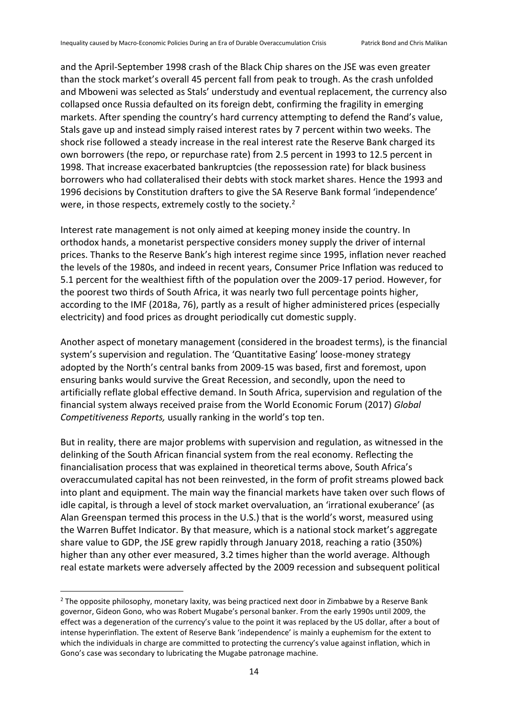and the April-September 1998 crash of the Black Chip shares on the JSE was even greater than the stock market's overall 45 percent fall from peak to trough. As the crash unfolded and Mboweni was selected as Stals' understudy and eventual replacement, the currency also collapsed once Russia defaulted on its foreign debt, confirming the fragility in emerging markets. After spending the country's hard currency attempting to defend the Rand's value, Stals gave up and instead simply raised interest rates by 7 percent within two weeks. The shock rise followed a steady increase in the real interest rate the Reserve Bank charged its own borrowers (the repo, or repurchase rate) from 2.5 percent in 1993 to 12.5 percent in 1998. That increase exacerbated bankruptcies (the repossession rate) for black business borrowers who had collateralised their debts with stock market shares. Hence the 1993 and 1996 decisions by Constitution drafters to give the SA Reserve Bank formal 'independence' were, in those respects, extremely costly to the society.<sup>2</sup>

Interest rate management is not only aimed at keeping money inside the country. In orthodox hands, a monetarist perspective considers money supply the driver of internal prices. Thanks to the Reserve Bank's high interest regime since 1995, inflation never reached the levels of the 1980s, and indeed in recent years, Consumer Price Inflation was reduced to 5.1 percent for the wealthiest fifth of the population over the 2009-17 period. However, for the poorest two thirds of South Africa, it was nearly two full percentage points higher, according to the IMF (2018a, 76), partly as a result of higher administered prices (especially electricity) and food prices as drought periodically cut domestic supply.

Another aspect of monetary management (considered in the broadest terms), is the financial system's supervision and regulation. The 'Quantitative Easing' loose-money strategy adopted by the North's central banks from 2009-15 was based, first and foremost, upon ensuring banks would survive the Great Recession, and secondly, upon the need to artificially reflate global effective demand. In South Africa, supervision and regulation of the financial system always received praise from the World Economic Forum (2017) *Global Competitiveness Reports,* usually ranking in the world's top ten.

But in reality, there are major problems with supervision and regulation, as witnessed in the delinking of the South African financial system from the real economy. Reflecting the financialisation process that was explained in theoretical terms above, South Africa's overaccumulated capital has not been reinvested, in the form of profit streams plowed back into plant and equipment. The main way the financial markets have taken over such flows of idle capital, is through a level of stock market overvaluation, an 'irrational exuberance' (as Alan Greenspan termed this process in the U.S.) that is the world's worst, measured using the Warren Buffet Indicator. By that measure, which is a national stock market's aggregate share value to GDP, the JSE grew rapidly through January 2018, reaching a ratio (350%) higher than any other ever measured, 3.2 times higher than the world average. Although real estate markets were adversely affected by the 2009 recession and subsequent political

 $\overline{\phantom{a}}$ 

<sup>&</sup>lt;sup>2</sup> The opposite philosophy, monetary laxity, was being practiced next door in Zimbabwe by a Reserve Bank governor, Gideon Gono, who was Robert Mugabe's personal banker. From the early 1990s until 2009, the effect was a degeneration of the currency's value to the point it was replaced by the US dollar, after a bout of intense hyperinflation. The extent of Reserve Bank 'independence' is mainly a euphemism for the extent to which the individuals in charge are committed to protecting the currency's value against inflation, which in Gono's case was secondary to lubricating the Mugabe patronage machine.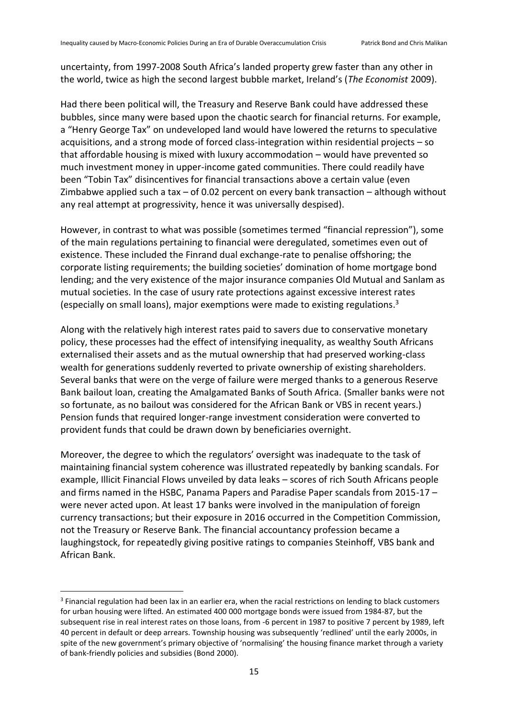uncertainty, from 1997-2008 South Africa's landed property grew faster than any other in the world, twice as high the second largest bubble market, Ireland's (*The Economist* 2009).

Had there been political will, the Treasury and Reserve Bank could have addressed these bubbles, since many were based upon the chaotic search for financial returns. For example, a "Henry George Tax" on undeveloped land would have lowered the returns to speculative acquisitions, and a strong mode of forced class-integration within residential projects – so that affordable housing is mixed with luxury accommodation – would have prevented so much investment money in upper-income gated communities. There could readily have been "Tobin Tax" disincentives for financial transactions above a certain value (even Zimbabwe applied such a tax  $-$  of 0.02 percent on every bank transaction  $-$  although without any real attempt at progressivity, hence it was universally despised).

However, in contrast to what was possible (sometimes termed "financial repression"), some of the main regulations pertaining to financial were deregulated, sometimes even out of existence. These included the Finrand dual exchange-rate to penalise offshoring; the corporate listing requirements; the building societies' domination of home mortgage bond lending; and the very existence of the major insurance companies Old Mutual and Sanlam as mutual societies. In the case of usury rate protections against excessive interest rates (especially on small loans), major exemptions were made to existing regulations. 3

Along with the relatively high interest rates paid to savers due to conservative monetary policy, these processes had the effect of intensifying inequality, as wealthy South Africans externalised their assets and as the mutual ownership that had preserved working-class wealth for generations suddenly reverted to private ownership of existing shareholders. Several banks that were on the verge of failure were merged thanks to a generous Reserve Bank bailout loan, creating the Amalgamated Banks of South Africa. (Smaller banks were not so fortunate, as no bailout was considered for the African Bank or VBS in recent years.) Pension funds that required longer-range investment consideration were converted to provident funds that could be drawn down by beneficiaries overnight.

Moreover, the degree to which the regulators' oversight was inadequate to the task of maintaining financial system coherence was illustrated repeatedly by banking scandals. For example, Illicit Financial Flows unveiled by data leaks – scores of rich South Africans people and firms named in the HSBC, Panama Papers and Paradise Paper scandals from 2015-17 – were never acted upon. At least 17 banks were involved in the manipulation of foreign currency transactions; but their exposure in 2016 occurred in the Competition Commission, not the Treasury or Reserve Bank. The financial accountancy profession became a laughingstock, for repeatedly giving positive ratings to companies Steinhoff, VBS bank and African Bank.

 $\overline{\phantom{a}}$ 

<sup>&</sup>lt;sup>3</sup> Financial regulation had been lax in an earlier era, when the racial restrictions on lending to black customers for urban housing were lifted. An estimated 400 000 mortgage bonds were issued from 1984-87, but the subsequent rise in real interest rates on those loans, from -6 percent in 1987 to positive 7 percent by 1989, left 40 percent in default or deep arrears. Township housing was subsequently 'redlined' until the early 2000s, in spite of the new government's primary objective of 'normalising' the housing finance market through a variety of bank-friendly policies and subsidies (Bond 2000).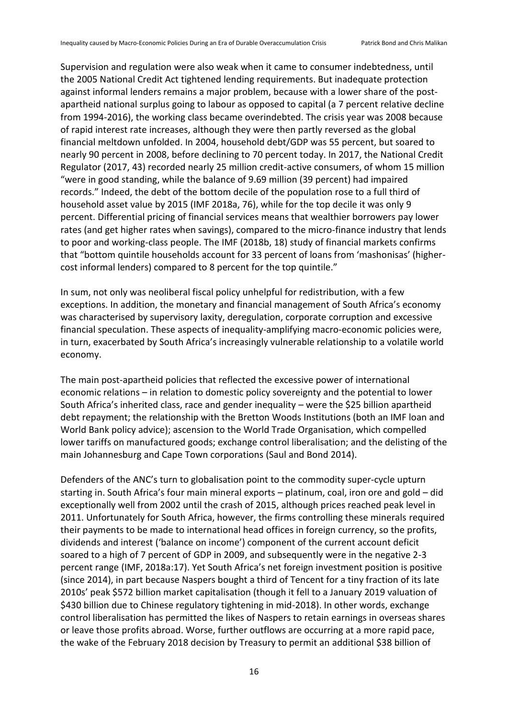Supervision and regulation were also weak when it came to consumer indebtedness, until the 2005 National Credit Act tightened lending requirements. But inadequate protection against informal lenders remains a major problem, because with a lower share of the postapartheid national surplus going to labour as opposed to capital (a 7 percent relative decline from 1994-2016), the working class became overindebted. The crisis year was 2008 because of rapid interest rate increases, although they were then partly reversed as the global financial meltdown unfolded. In 2004, household debt/GDP was 55 percent, but soared to nearly 90 percent in 2008, before declining to 70 percent today. In 2017, the National Credit Regulator (2017, 43) recorded nearly 25 million credit-active consumers, of whom 15 million "were in good standing, while the balance of 9.69 million (39 percent) had impaired records." Indeed, the debt of the bottom decile of the population rose to a full third of household asset value by 2015 (IMF 2018a, 76), while for the top decile it was only 9 percent. Differential pricing of financial services means that wealthier borrowers pay lower rates (and get higher rates when savings), compared to the micro-finance industry that lends to poor and working-class people. The IMF (2018b, 18) study of financial markets confirms that "bottom quintile households account for 33 percent of loans from 'mashonisas' (highercost informal lenders) compared to 8 percent for the top quintile."

In sum, not only was neoliberal fiscal policy unhelpful for redistribution, with a few exceptions. In addition, the monetary and financial management of South Africa's economy was characterised by supervisory laxity, deregulation, corporate corruption and excessive financial speculation. These aspects of inequality-amplifying macro-economic policies were, in turn, exacerbated by South Africa's increasingly vulnerable relationship to a volatile world economy.

The main post-apartheid policies that reflected the excessive power of international economic relations – in relation to domestic policy sovereignty and the potential to lower South Africa's inherited class, race and gender inequality – were the \$25 billion apartheid debt repayment; the relationship with the Bretton Woods Institutions (both an IMF loan and World Bank policy advice); ascension to the World Trade Organisation, which compelled lower tariffs on manufactured goods; exchange control liberalisation; and the delisting of the main Johannesburg and Cape Town corporations (Saul and Bond 2014).

Defenders of the ANC's turn to globalisation point to the commodity super-cycle upturn starting in. South Africa's four main mineral exports – platinum, coal, iron ore and gold – did exceptionally well from 2002 until the crash of 2015, although prices reached peak level in 2011. Unfortunately for South Africa, however, the firms controlling these minerals required their payments to be made to international head offices in foreign currency, so the profits, dividends and interest ('balance on income') component of the current account deficit soared to a high of 7 percent of GDP in 2009, and subsequently were in the negative 2-3 percent range (IMF, 2018a:17). Yet South Africa's net foreign investment position is positive (since 2014), in part because Naspers bought a third of Tencent for a tiny fraction of its late 2010s' peak \$572 billion market capitalisation (though it fell to a January 2019 valuation of \$430 billion due to Chinese regulatory tightening in mid-2018). In other words, exchange control liberalisation has permitted the likes of Naspers to retain earnings in overseas shares or leave those profits abroad. Worse, further outflows are occurring at a more rapid pace, the wake of the February 2018 decision by Treasury to permit an additional \$38 billion of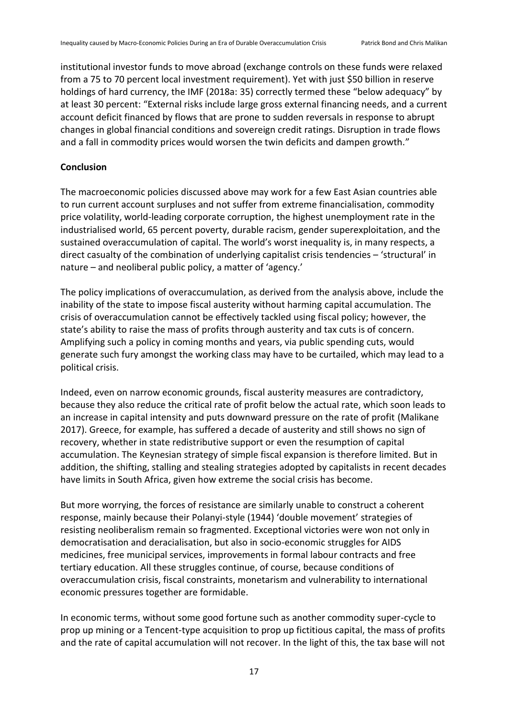institutional investor funds to move abroad (exchange controls on these funds were relaxed from a 75 to 70 percent local investment requirement). Yet with just \$50 billion in reserve holdings of hard currency, the IMF (2018a: 35) correctly termed these "below adequacy" by at least 30 percent: "External risks include large gross external financing needs, and a current account deficit financed by flows that are prone to sudden reversals in response to abrupt changes in global financial conditions and sovereign credit ratings. Disruption in trade flows and a fall in commodity prices would worsen the twin deficits and dampen growth."

#### **Conclusion**

The macroeconomic policies discussed above may work for a few East Asian countries able to run current account surpluses and not suffer from extreme financialisation, commodity price volatility, world-leading corporate corruption, the highest unemployment rate in the industrialised world, 65 percent poverty, durable racism, gender superexploitation, and the sustained overaccumulation of capital. The world's worst inequality is, in many respects, a direct casualty of the combination of underlying capitalist crisis tendencies – 'structural' in nature – and neoliberal public policy, a matter of 'agency.'

The policy implications of overaccumulation, as derived from the analysis above, include the inability of the state to impose fiscal austerity without harming capital accumulation. The crisis of overaccumulation cannot be effectively tackled using fiscal policy; however, the state's ability to raise the mass of profits through austerity and tax cuts is of concern. Amplifying such a policy in coming months and years, via public spending cuts, would generate such fury amongst the working class may have to be curtailed, which may lead to a political crisis.

Indeed, even on narrow economic grounds, fiscal austerity measures are contradictory, because they also reduce the critical rate of profit below the actual rate, which soon leads to an increase in capital intensity and puts downward pressure on the rate of profit (Malikane 2017). Greece, for example, has suffered a decade of austerity and still shows no sign of recovery, whether in state redistributive support or even the resumption of capital accumulation. The Keynesian strategy of simple fiscal expansion is therefore limited. But in addition, the shifting, stalling and stealing strategies adopted by capitalists in recent decades have limits in South Africa, given how extreme the social crisis has become.

But more worrying, the forces of resistance are similarly unable to construct a coherent response, mainly because their Polanyi-style (1944) 'double movement' strategies of resisting neoliberalism remain so fragmented. Exceptional victories were won not only in democratisation and deracialisation, but also in socio-economic struggles for AIDS medicines, free municipal services, improvements in formal labour contracts and free tertiary education. All these struggles continue, of course, because conditions of overaccumulation crisis, fiscal constraints, monetarism and vulnerability to international economic pressures together are formidable.

In economic terms, without some good fortune such as another commodity super-cycle to prop up mining or a Tencent-type acquisition to prop up fictitious capital, the mass of profits and the rate of capital accumulation will not recover. In the light of this, the tax base will not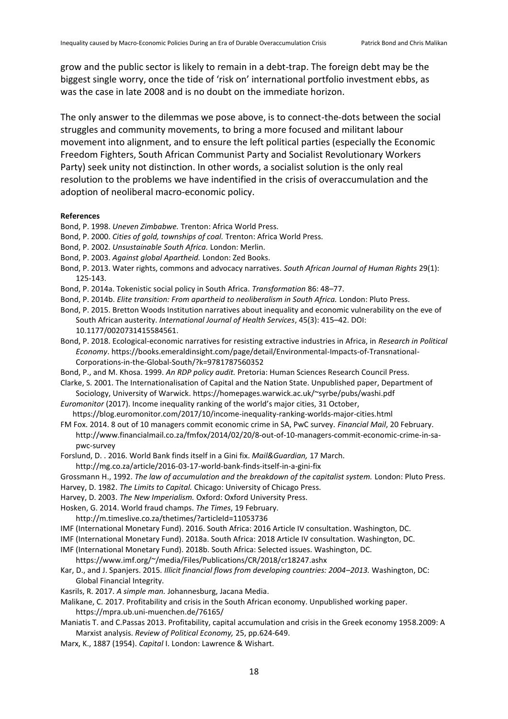grow and the public sector is likely to remain in a debt-trap. The foreign debt may be the biggest single worry, once the tide of 'risk on' international portfolio investment ebbs, as was the case in late 2008 and is no doubt on the immediate horizon.

The only answer to the dilemmas we pose above, is to connect-the-dots between the social struggles and community movements, to bring a more focused and militant labour movement into alignment, and to ensure the left political parties (especially the Economic Freedom Fighters, South African Communist Party and Socialist Revolutionary Workers Party) seek unity not distinction. In other words, a socialist solution is the only real resolution to the problems we have indentified in the crisis of overaccumulation and the adoption of neoliberal macro-economic policy.

#### **References**

- Bond, P. 1998. *Uneven Zimbabwe.* Trenton: Africa World Press.
- Bond, P. 2000. *Cities of gold, townships of coal.* Trenton: Africa World Press.
- Bond, P. 2002. *Unsustainable South Africa.* London: Merlin.
- Bond, P. 2003. *Against global Apartheid.* London: Zed Books.
- Bond, P. 2013. Water rights, commons and advocacy narratives. *South African Journal of Human Rights* 29(1): 125-143.
- Bond, P. 2014a. Tokenistic social policy in South Africa. *Transformation* 86: 48–77.
- Bond, P. 2014b. *Elite transition: From apartheid to neoliberalism in South Africa.* London: Pluto Press.
- Bond, P. 2015. Bretton Woods Institution narratives about inequality and economic vulnerability on the eve of
- South African austerity. *International Journal of Health Services*, 45(3): 415–42. DOI: 10.1177/0020731415584561.
- Bond, P. 2018. Ecological-economic narratives for resisting extractive industries in Africa, in *Research in Political Economy*. https://books.emeraldinsight.com/page/detail/Environmental-Impacts-of-Transnational-Corporations-in-the-Global-South/?k=9781787560352
- Bond, P., and M. Khosa. 1999. *An RDP policy audit.* Pretoria: Human Sciences Research Council Press.
- Clarke, S. 2001. The Internationalisation of Capital and the Nation State. Unpublished paper, Department of Sociology, University of Warwick.<https://homepages.warwick.ac.uk/~syrbe/pubs/washi.pdf>
- *Euromonitor* (2017). Income inequality ranking of the world's major cities, 31 October,
- <https://blog.euromonitor.com/2017/10/income-inequality-ranking-worlds-major-cities.html> FM Fox. 2014. 8 out of 10 managers commit economic crime in SA, PwC survey. *Financial Mail*, 20 February.
- [http://www.financialmail.co.za/fmfox/2014/02/20/8-out-of-10-managers-commit-economic-crime-in-sa](http://www.financialmail.co.za/fmfox/2014/02/20/8-out-of-10-managers-commit-economic-crime-in-sa-pwc-survey)[pwc-survey](http://www.financialmail.co.za/fmfox/2014/02/20/8-out-of-10-managers-commit-economic-crime-in-sa-pwc-survey)
- Forslund, D. . 2016. World Bank finds itself in a Gini fix. *Mail&Guardian,* 17 March.
	- http://mg.co.za/article/2016-03-17-world-bank-finds-itself-in-a-gini-fix
- Grossmann H., 1992. *The law of accumulation and the breakdown of the capitalist system.* London: Pluto Press. Harvey, D. 1982. *The Limits to Capital.* Chicago: University of Chicago Press.
- 
- Harvey, D. 2003. *The New Imperialism.* Oxford: Oxford University Press.
- Hosken, G. 2014. World fraud champs. *The Times*, 19 February.
- <http://m.timeslive.co.za/thetimes/?articleId=11053736>
- IMF (International Monetary Fund). 2016. South Africa: 2016 Article IV consultation. Washington, DC.
- IMF (International Monetary Fund). 2018a. South Africa: 2018 Article IV consultation. Washington, DC.
- IMF (International Monetary Fund). 2018b. South Africa: Selected issues. Washington, DC.
- https://www.imf.org/~/media/Files/Publications/CR/2018/cr18247.ashx
- Kar, D., and J. Spanjers. 2015. *Illicit financial flows from developing countries: 2004–2013.* Washington, DC: Global Financial Integrity.
- Kasrils, R. 2017. *A simple man.* Johannesburg, Jacana Media.
- Malikane, C. 2017. Profitability and crisis in the South African economy. Unpublished working paper. https://mpra.ub.uni-muenchen.de/76165/
- Maniatis T. and C.Passas 2013. Profitability, capital accumulation and crisis in the Greek economy 1958.2009: A Marxist analysis. *Review of Political Economy,* 25, pp.624-649.
- Marx, K., 1887 (1954). *Capital* I. London: Lawrence & Wishart.